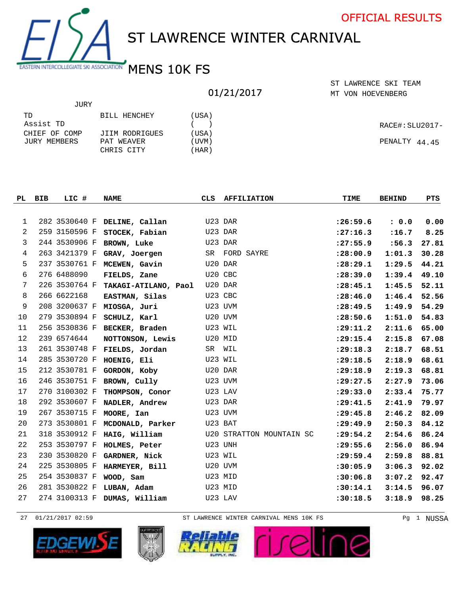

ST LAWRENCE WINTER CARNIVAL



JURY

## 01/21/2017

MT VON HOEVENBERG ST LAWRENCE SKI TEAM

| TD            | BILL HENCHEY   | USA)   |                      |
|---------------|----------------|--------|----------------------|
| Assist TD     |                | (1, 1) | $RACE$ #: $SLU2017-$ |
| CHIEF OF COMP | JIIM RODRIGUES | 'USA)  |                      |
| JURY MEMBERS  | PAT WEAVER     | UVM)   | PENALTY 44.45        |
|               | CHRIS CITY     | HAR    |                      |

| PL | BIB | LIC #         | <b>NAME</b>                        |         | CLS AFFILIATION          | TIME       | <b>BEHIND</b> | PTS   |
|----|-----|---------------|------------------------------------|---------|--------------------------|------------|---------------|-------|
|    |     |               |                                    |         |                          |            |               |       |
| 1  |     |               | 282 3530640 F DELINE, Callan       | U23 DAR |                          | : 26:59.6  | : 0.0         | 0.00  |
| 2  |     | 259 3150596 F | STOCEK, Fabian                     | U23 DAR |                          | : 27:16.3  | :16.7         | 8.25  |
| 3  |     | 244 3530906 F | BROWN, Luke                        |         | U23 DAR                  | : 27: 55.9 | : 56.3        | 27.81 |
| 4  |     | 263 3421379 F | GRAV, Joergen                      |         | SR FORD SAYRE            | : 28:00.9  | 1:01.3        | 30.28 |
| 5  |     | 237 3530761 F | MCEWEN, Gavin                      | U20 DAR |                          | : 28: 29.1 | 1:29.5        | 44.21 |
| 6  |     | 276 6488090   | FIELDS, Zane                       |         | U20 CBC                  | : 28:39.0  | 1:39.4        | 49.10 |
| 7  |     |               | 226 3530764 F TAKAGI-ATILANO, Paol |         | U20 DAR                  | : 28: 45.1 | 1:45.5        | 52.11 |
| 8  |     | 266 6622168   | EASTMAN, Silas                     |         | U23 CBC                  | : 28: 46.0 | 1:46.4        | 52.56 |
| 9  |     | 208 3200637 F | MIOSGA, Juri                       |         | U23 UVM                  | : 28: 49.5 | 1:49.9        | 54.29 |
| 10 |     | 279 3530894 F | SCHULZ, Karl                       |         | U20 UVM                  | : 28:50.6  | 1:51.0        | 54.83 |
| 11 |     | 256 3530836 F | BECKER, Braden                     | U23 WIL |                          | : 29: 11.2 | 2:11.6        | 65.00 |
| 12 |     | 239 6574644   | NOTTONSON, Lewis                   | U20 MID |                          | : 29: 15.4 | 2:15.8        | 67.08 |
| 13 |     |               | 261 3530748 F FIELDS, Jordan       |         | SR WIL                   | : 29:18.3  | 2:18.7        | 68.51 |
| 14 |     | 285 3530720 F | HOENIG, Eli                        |         | U23 WIL                  | : 29:18.5  | 2:18.9        | 68.61 |
| 15 |     | 212 3530781 F | GORDON, Koby                       |         | U20 DAR                  | : 29:18.9  | 2:19.3        | 68.81 |
| 16 |     | 246 3530751 F | BROWN, Cully                       | U23 UVM |                          | : 29: 27.5 | 2:27.9        | 73.06 |
| 17 |     | 270 3100302 F | THOMPSON, Conor                    | U23 LAV |                          | : 29: 33.0 | 2:33.4        | 75.77 |
| 18 |     | 292 3530607 F | NADLER, Andrew                     |         | U23 DAR                  | : 29: 41.5 | 2:41.9        | 79.97 |
| 19 |     | 267 3530715 F | MOORE, Ian                         |         | U23 UVM                  | : 29: 45.8 | 2:46.2        | 82.09 |
| 20 |     | 273 3530801 F | MCDONALD, Parker                   | U23 BAT |                          | : 29: 49.9 | 2:50.3        | 84.12 |
| 21 |     | 318 3530912 F | HAIG, William                      |         | U20 STRATTON MOUNTAIN SC | : 29:54.2  | 2:54.6        | 86.24 |
| 22 |     | 253 3530797 F | HOLMES, Peter                      | U23 UNH |                          | : 29:55.6  | 2:56.0        | 86.94 |
| 23 |     | 230 3530820 F | GARDNER, Nick                      | U23 WIL |                          | : 29:59.4  | 2:59.8        | 88.81 |
| 24 |     | 225 3530805 F | HARMEYER, Bill                     | U20 UVM |                          | :30:05.9   | 3:06.3        | 92.02 |
| 25 |     | 254 3530837 F | WOOD, Sam                          | U23 MID |                          | :30:06.8   | 3:07.2        | 92.47 |
| 26 |     | 281 3530822 F | LUBAN, Adam                        | U23 MID |                          | :30:14.1   | 3:14.5        | 96.07 |
| 27 |     |               | 274 3100313 F DUMAS, William       |         | U23 LAV                  | :30:18.5   | 3:18.9        | 98.25 |





27 01/21/2017 02:59 ST LAWRENCE WINTER CARNIVAL MENS 10K FS Pg 1 NUSSA



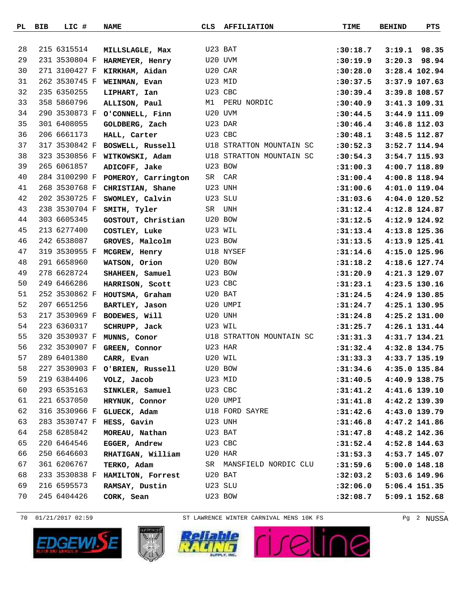|    | PL BIB | LIC #         | <b>NAME</b>                             | CLS     | <b>AFFILIATION</b>       | TIME                   | <b>BEHIND</b> | PTS            |
|----|--------|---------------|-----------------------------------------|---------|--------------------------|------------------------|---------------|----------------|
|    |        |               |                                         |         |                          |                        |               |                |
| 28 |        | 215 6315514   | MILLSLAGLE, Max                         |         | U23 BAT                  | :30:18.7               |               | $3:19.1$ 98.35 |
| 29 |        | 231 3530804 F | HARMEYER, Henry                         |         | U20 UVM                  | :30:19.9               | 3:20.3        | 98.94          |
| 30 |        |               | 271 3100427 F KIRKHAM, Aidan            |         | U20 CAR                  | :30:28.0               |               | 3:28.4 102.94  |
| 31 |        | 262 3530745 F | WEINMAN, Evan                           |         | U23 MID                  | :30:37.5               |               | 3:37.9 107.63  |
| 32 |        | 235 6350255   | LIPHART, Ian                            | U23 CBC |                          | :30:39.4               | 3:39.8 108.57 |                |
| 33 |        | 358 5860796   | ALLISON, Paul                           | M1      | PERU NORDIC              | :30:40.9               | 3:41.3 109.31 |                |
| 34 |        | 290 3530873 F | O'CONNELL, Finn                         |         | U20 UVM                  | :30:44.5               |               | 3:44.9 111.09  |
| 35 |        | 301 6408055   | GOLDBERG, Zach                          |         | U23 DAR                  | :30:46.4               |               | 3:46.8 112.03  |
| 36 |        | 206 6661173   | HALL, Carter                            | U23 CBC |                          | :30:48.1               |               | 3:48.5 112.87  |
| 37 |        | 317 3530842 F | BOSWELL, Russell                        |         | U18 STRATTON MOUNTAIN SC | :30:52.3               |               | 3:52.7 114.94  |
| 38 |        |               | 323 3530856 F WITKOWSKI, Adam           |         | U18 STRATTON MOUNTAIN SC | :30:54.3               | 3:54.7 115.93 |                |
| 39 |        | 265 6061857   | ADICOFF, Jake                           | U23 BOW |                          | :31:00.3               |               | 4:00.7 118.89  |
| 40 |        | 284 3100290 F | POMEROY, Carrington                     | SR      | CAR                      | :31:00.4               |               | 4:00.8 118.94  |
| 41 |        | 268 3530768 F | CHRISTIAN, Shane                        |         | U23 UNH                  | :31:00.6               | 4:01.0 119.04 |                |
| 42 |        | 202 3530725 F | SWOMLEY, Calvin                         |         | U23 SLU                  | :31:03.6               |               | 4:04.0 120.52  |
| 43 |        | 238 3530704 F | SMITH, Tyler                            | SR      | UNH                      | : 31: 12.4             | 4:12.8 124.87 |                |
| 44 |        | 303 6605345   | GOSTOUT, Christian                      | U20 BOW |                          | :31:12.5               | 4:12.9 124.92 |                |
| 45 |        | 213 6277400   | COSTLEY, Luke                           |         | U23 WIL                  | : 31: 13.4             |               | 4:13.8 125.36  |
| 46 |        | 242 6538087   | GROVES, Malcolm                         |         | U23 BOW                  | :31:13.5               |               | 4:13.9 125.41  |
| 47 |        | 319 3530955 F | MCGREW, Henry                           |         | U18 NYSEF                | :31:14.6               |               | 4:15.0 125.96  |
| 48 |        | 291 6658960   | WATSON, Orion                           |         | U20 BOW                  | :31:18.2               |               | 4:18.6 127.74  |
| 49 |        | 278 6628724   | SHAHEEN, Samuel                         |         | U23 BOW                  | :31:20.9               | 4:21.3 129.07 |                |
| 50 |        | 249 6466286   | HARRISON, Scott                         |         | U23 CBC                  | : 31: 23.1             |               | 4:23.5 130.16  |
| 51 |        | 252 3530862 F | HOUTSMA, Graham                         |         | U20 BAT                  | :31:24.5               |               | 4:24.9 130.85  |
| 52 |        | 207 6651256   | BARTLEY, Jason                          |         | U20 UMPI                 | : 31: 24.7             | 4:25.1 130.95 |                |
| 53 |        | 217 3530969 F | BODEWES, Will                           |         | U20 UNH                  | :31:24.8               |               | 4:25.2 131.00  |
| 54 |        | 223 6360317   | SCHRUPP, Jack                           |         | U23 WIL                  | :31:25.7               | 4:26.1 131.44 |                |
| 55 |        | 320 3530937 F | MUNNS, Conor                            |         | U18 STRATTON MOUNTAIN SC | : 31:31.3              | 4:31.7 134.21 |                |
| 56 |        | 232 3530907 F | GREEN, Connor                           |         | U23 HAR                  | : 31:32.4              |               | 4:32.8 134.75  |
| 57 |        | 289 6401380   | CARR, Evan                              |         | U20 WIL                  | :31:33.3 4:33.7 135.19 |               |                |
| 58 |        |               | 227 3530903 F O'BRIEN, Russell          | U20 BOW |                          | : 31:34.6              | 4:35.0 135.84 |                |
| 59 |        | 219 6384406   | VOLZ, Jacob                             | U23 MID |                          | :31:40.5               | 4:40.9 138.75 |                |
| 60 |        | 293 6535163   | SINKLER, Samuel                         | U23 CBC |                          | : 31: 41.2             | 4:41.6 139.10 |                |
| 61 |        | 221 6537050   | HRYNUK, Connor                          |         | U20 UMPI                 | :31:41.8               | 4:42.2 139.39 |                |
| 62 |        |               | 316 3530966 F GLUECK, Adam              |         | U18 FORD SAYRE           | :31:42.6               | 4:43.0 139.79 |                |
| 63 |        |               | 283 3530747 F HESS, Gavin               | U23 UNH |                          | :31:46.8               | 4:47.2 141.86 |                |
| 64 |        | 258 6285842   | MOREAU, Nathan U23 BAT                  |         |                          | :31:47.8               | 4:48.2 142.36 |                |
| 65 |        | 220 6464546   | EGGER, Andrew                           | U23 CBC |                          | :31:52.4               |               | 4:52.8 144.63  |
| 66 |        | 250 6646603   | RHATIGAN, William                       | U20 HAR |                          | : 31: 53.3             | 4:53.7 145.07 |                |
| 67 |        | 361 6206767   | TERKO, Adam                             |         | SR MANSFIELD NORDIC CLU  | : 31:59.6              |               | 5:00.0 148.18  |
| 68 |        |               | 233 3530838 F HAMILTON, Forrest U20 BAT |         |                          | :32:03.2               | 5:03.6 149.96 |                |
| 69 |        | 216 6595573   | RAMSAY, Dustin                          | U23 SLU |                          | :32:06.0               | 5:06.4 151.35 |                |
| 70 |        | 245 6404426   | CORK, Sean                              |         | U23 BOW                  | :32:08.7               |               | 5:09.1 152.68  |
|    |        |               |                                         |         |                          |                        |               |                |

70 01/21/2017 02:59 ST LAWRENCE WINTER CARNIVAL MENS 10K FS Pg 2 NUSSA







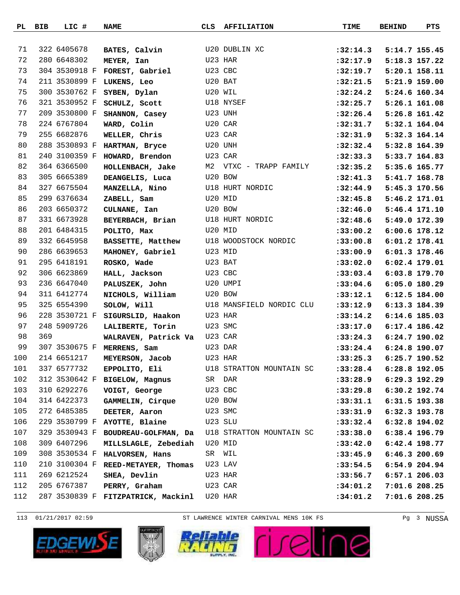| PL. | BIB | LIC #         | <b>NAME</b>                                   | CLS     | <b>AFFILIATION</b>       | <b>TIME</b>              | <b>BEHIND</b>   | PTS             |
|-----|-----|---------------|-----------------------------------------------|---------|--------------------------|--------------------------|-----------------|-----------------|
|     |     |               |                                               |         |                          |                          |                 |                 |
| 71  |     | 322 6405678   | BATES, Calvin                                 |         | U20 DUBLIN XC            | :32:14.3                 | 5:14.7 155.45   |                 |
| 72  |     | 280 6648302   | MEYER, Ian                                    |         | U23 HAR                  | :32:17.9                 |                 | 5:18.3 157.22   |
| 73  |     | 304 3530918 F | FOREST, Gabriel                               | U23 CBC |                          | :32:19.7                 |                 | 5:20.1 158.11   |
| 74  |     | 211 3530899 F | LUKENS, Leo                                   | U20 BAT |                          | :32:21.5                 | 5:21.9 159.00   |                 |
| 75  |     | 300 3530762 F | SYBEN, Dylan                                  | U20 WIL |                          | :32:24.2                 | 5:24.6 160.34   |                 |
| 76  |     | 321 3530952 F | SCHULZ, Scott                                 |         | U18 NYSEF                | :32:25.7                 |                 | 5:26.1 161.08   |
| 77  |     | 209 3530800 F | SHANNON, Casey                                |         | U23 UNH                  | :32:26.4                 |                 | 5:26.8 161.42   |
| 78  |     | 224 6767804   | WARD, Colin                                   |         | U20 CAR                  | :32:31.7                 | 5:32.1 164.04   |                 |
| 79  |     | 255 6682876   | WELLER, Chris                                 |         | U23 CAR                  | :32:31.9                 | 5:32.3 164.14   |                 |
| 80  |     | 288 3530893 F | HARTMAN, Bryce                                | U20 UNH |                          | :32:32.4                 |                 | 5:32.8 164.39   |
| 81  |     | 240 3100359 F | HOWARD, Brendon                               | U23 CAR |                          | :32:33.3                 |                 | 5:33.7 164.83   |
| 82  |     | 364 6366500   | HOLLENBACH, Jake                              |         | M2 VTXC - TRAPP FAMILY   | :32:35.2                 |                 | 5:35.6 165.77   |
| 83  |     | 305 6665389   | DEANGELIS, Luca                               | U20 BOW |                          | :32:41.3                 |                 | 5:41.7 168.78   |
| 84  |     | 327 6675504   | MANZELLA, Nino                                |         | U18 HURT NORDIC          | :32:44.9                 |                 | 5:45.3 170.56   |
| 85  |     | 299 6376634   | ZABELL, Sam                                   | U20 MID |                          | :32:45.8                 | 5:46.2 171.01   |                 |
| 86  |     | 203 6650372   | CULNANE, Ian                                  |         | U20 BOW                  | :32:46.0                 | 5:46.4 171.10   |                 |
| 87  |     | 331 6673928   | BEYERBACH, Brian                              |         | U18 HURT NORDIC          | :32:48.6                 |                 | 5:49.0 172.39   |
| 88  |     | 201 6484315   | POLITO, Max                                   | U20 MID |                          | : 33:00.2                | 6:00.6 178.12   |                 |
| 89  |     | 332 6645958   | BASSETTE, Matthew                             |         | U18 WOODSTOCK NORDIC     | : 33:00.8                |                 | $6:01.2$ 178.41 |
| 90  |     | 286 6639653   | MAHONEY, Gabriel                              | U23 MID |                          | : 33:00.9                |                 | 6:01.3 178.46   |
| 91  |     | 295 6418191   | ROSKO, Wade                                   | U23 BAT |                          | :33:02.0                 | 6:02.4 179.01   |                 |
| 92  |     | 306 6623869   | HALL, Jackson                                 |         | U23 CBC                  | : 33:03.4                | 6:03.8 179.70   |                 |
| 93  |     | 236 6647040   | PALUSZEK, John                                |         | U20 UMPI                 | : 33:04.6                | 6:05.0 180.29   |                 |
| 94  |     | 311 6412774   | NICHOLS, William                              | U20 BOW |                          | : 33: 12.1               |                 | 6:12.5 184.00   |
| 95  |     | 325 6554390   | SOLOW, Will                                   |         | U18 MANSFIELD NORDIC CLU | : 33: 12.9               | 6:13.3 184.39   |                 |
| 96  |     | 228 3530721 F | SIGURSLID, Haakon                             |         | U23 HAR                  | : 33: 14.2               | 6:14.6 185.03   |                 |
| 97  |     | 248 5909726   | LALIBERTE, Torin                              | U23 SMC |                          | : 33: 17.0               | $6:17.4$ 186.42 |                 |
| 98  | 369 |               | WALRAVEN, Patrick Va                          | U23 CAR |                          | : 33: 24.3               | 6:24.7 190.02   |                 |
| 99  |     |               | 307 3530675 F MERRENS, Sam                    | U23 DAR |                          | : 33: 24.4               |                 | 6:24.8 190.07   |
| 100 |     | 214 6651217   | MEYERSON, Jacob                               | U23 HAR |                          | $:33:25.3$ 6:25.7 190.52 |                 |                 |
| 101 |     | 337 6577732   | EPPOLITO, Eli                                 |         | U18 STRATTON MOUNTAIN SC | : 33: 28.4               | 6:28.8 192.05   |                 |
| 102 |     |               | 312 3530642 F BIGELOW, Magnus                 |         | SR DAR                   | :33:28.9                 | 6:29.3 192.29   |                 |
| 103 |     | 310 6292276   | VOIGT, George                                 | U23 CBC |                          | :33:29.8                 | 6:30.2 192.74   |                 |
| 104 |     | 314 6422373   | GAMMELIN, Cirque                              | U20 BOW |                          | : 33: 31.1               | 6:31.5 193.38   |                 |
| 105 |     | 272 6485385   | DEETER, Aaron                                 | U23 SMC |                          | : 33: 31.9               | 6:32.3 193.78   |                 |
| 106 |     |               | 229 3530799 F AYOTTE, Blaine U23 SLU          |         |                          | : 33: 32.4               | 6:32.8 194.02   |                 |
| 107 |     | 329 3530943 F | BOUDREAU-GOLFMAN, Da U18 STRATTON MOUNTAIN SC |         |                          | : 33:38.0                | 6:38.4 196.79   |                 |
| 108 |     | 309 6407296   | MILLSLAGLE, Zebediah U20 MID                  |         |                          | : 33: 42.0               | 6:42.4 198.77   |                 |
| 109 |     |               | 308 3530534 F HALVORSEN, Hans                 |         | SR WIL                   | :33:45.9                 | 6:46.3 200.69   |                 |
| 110 |     |               | 210 3100304 F REED-METAYER, Thomas U23 LAV    |         |                          | : 33: 54.5               | 6:54.9 204.94   |                 |
| 111 |     | 269 6212524   | SHEA, Devlin                                  | U23 HAR |                          | : 33: 56.7               | $6:57.1$ 206.03 |                 |
| 112 |     | 205 6767387   | PERRY, Graham U23 CAR                         |         |                          | :34:01.2                 |                 | 7:01.6 208.25   |
| 112 |     |               | 287 3530839 F FITZPATRICK, Mackinl U20 HAR    |         |                          | :34:01.2                 |                 | 7:01.6 208.25   |

113 01/21/2017 02:59 ST LAWRENCE WINTER CARNIVAL MENS 10K FS Pg 3 NUSSA







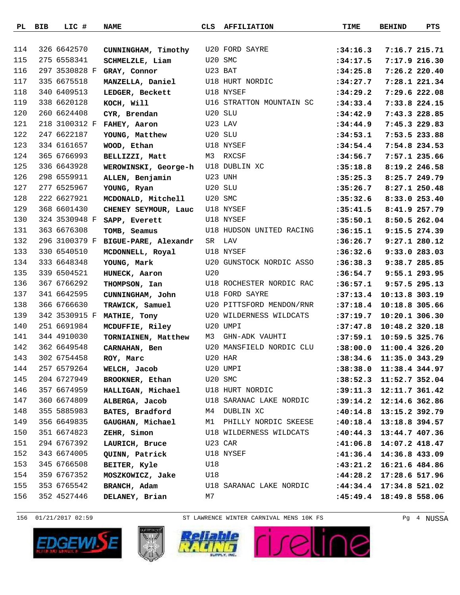|     | PL BIB | LIC #         | <b>NAME</b>                        | CLS | <b>AFFILIATION</b>                       | TIME                       | <b>BEHIND</b>  | PTS           |
|-----|--------|---------------|------------------------------------|-----|------------------------------------------|----------------------------|----------------|---------------|
|     |        |               |                                    |     |                                          |                            |                |               |
| 114 |        | 326 6642570   | CUNNINGHAM, Timothy                |     | U20 FORD SAYRE                           | :34:16.3                   | 7:16.7 215.71  |               |
| 115 |        | 275 6558341   | SCHMELZLE, Liam                    |     | U20 SMC                                  | :34:17.5                   |                | 7:17.9 216.30 |
| 116 |        | 297 3530828 F | GRAY, Connor                       |     | U23 BAT                                  | :34:25.8                   |                | 7:26.2 220.40 |
| 117 |        | 335 6675518   | MANZELLA, Daniel                   |     | U18 HURT NORDIC                          | :34:27.7                   |                | 7:28.1 221.34 |
| 118 |        | 340 6409513   | LEDGER, Beckett                    |     | U18 NYSEF                                | :34:29.2                   |                | 7:29.6 222.08 |
| 119 |        | 338 6620128   | KOCH, Will                         |     | U16 STRATTON MOUNTAIN SC                 | : 34:33.4                  | 7:33.8 224.15  |               |
| 120 |        | 260 6624408   | CYR, Brendan                       |     | U20 SLU                                  | :34:42.9                   | 7:43.3 228.85  |               |
| 121 |        | 218 3100312 F | FAHEY, Aaron                       |     | U23 LAV                                  | :34:44.9                   |                | 7:45.3 229.83 |
| 122 |        | 247 6622187   | YOUNG, Matthew                     |     | U20 SLU                                  | : 34:53.1                  | 7:53.5 233.88  |               |
| 123 |        | 334 6161657   | WOOD, Ethan                        |     | U18 NYSEF                                | : 34:54.4                  |                | 7:54.8 234.53 |
| 124 |        | 365 6766993   | BELLIZZI, Matt                     | M3  | RXCSF                                    | :34:56.7                   | 7:57.1 235.66  |               |
| 125 |        | 336 6643928   | WEROWINSKI, George-h U18 DUBLIN XC |     |                                          | :35:18.8                   | 8:19.2 246.58  |               |
| 126 |        | 298 6559911   | ALLEN, Benjamin                    |     | U23 UNH                                  | :35:25.3                   |                | 8:25.7 249.79 |
| 127 |        | 277 6525967   | YOUNG, Ryan                        |     | U20 SLU                                  | :35:26.7                   |                | 8:27.1 250.48 |
| 128 |        | 222 6627921   | MCDONALD, Mitchell                 |     | U20 SMC                                  | :35:32.6                   | 8:33.0 253.40  |               |
| 129 |        | 368 6601430   | CHENEY SEYMOUR, Lauc               |     | U18 NYSEF                                | :35:41.5                   | 8:41.9 257.79  |               |
| 130 |        | 324 3530948 F | SAPP, Everett                      |     | U18 NYSEF                                | : 35:50.1                  | 8:50.5 262.04  |               |
| 131 |        | 363 6676308   | TOMB, Seamus                       |     | U18 HUDSON UNITED RACING                 | :36:15.1                   |                | 9:15.5 274.39 |
| 132 |        | 296 3100379 F | BIGUE-PARE, Alexandr               |     | SR LAV                                   | :36:26.7                   |                | 9:27.1 280.12 |
| 133 |        | 330 6540510   | MCDONNELL, Royal                   |     | U18 NYSEF                                | :36:32.6                   | 9:33.0 283.03  |               |
| 134 |        | 333 6648348   | YOUNG, Mark                        |     | U20 GUNSTOCK NORDIC ASSO                 | :36:38.3                   |                | 9:38.7 285.85 |
| 135 |        | 339 6504521   | HUNECK, Aaron                      | U20 |                                          | : 36:54.7                  |                | 9:55.1 293.95 |
| 136 |        | 367 6766292   | THOMPSON, Ian                      |     | U18 ROCHESTER NORDIC RAC                 | :36:57.1                   |                | 9:57.5 295.13 |
| 137 |        | 341 6642595   | CUNNINGHAM, John                   |     | U18 FORD SAYRE                           | :37:13.4                   | 10:13.8 303.19 |               |
| 138 |        | 366 6766630   | TRAWICK, Samuel                    |     | U20 PITTSFORD MENDON/RNR                 | :37:18.4                   | 10:18.8 305.66 |               |
| 139 |        | 342 3530915 F | MATHIE, Tony                       |     | U20 WILDERNESS WILDCATS                  | :37:19.7                   | 10:20.1 306.30 |               |
| 140 |        | 251 6691984   | MCDUFFIE, Riley                    |     | U20 UMPI                                 | :37:47.8                   | 10:48.2 320.18 |               |
| 141 |        | 344 4910030   | TORNIAINEN, Matthew                | M3  | GHN-ADK VAUHTI                           | :37:59.1                   | 10:59.5 325.76 |               |
| 142 |        | 362 6649548   | CARNAHAN, Ben                      |     | U20 MANSFIELD NORDIC CLU                 | : 38:00.0                  | 11:00.4 326.20 |               |
| 143 |        | 302 6754458   | ROY, Marc                          |     | U20 HAR                                  | : 38:34.6                  | 11:35.0 343.29 |               |
| 144 |        | 257 6579264   | WELCH, Jacob U20 UMPI              |     |                                          | : 38: 38.0 11: 38.4 344.97 |                |               |
| 145 |        | 204 6727949   | BROOKNER, Ethan U20 SMC            |     |                                          | :38:52.3 11:52.7 352.04    |                |               |
| 146 |        | 357 6674959   |                                    |     | HALLIGAN, Michael U18 HURT NORDIC        | : 39: 11.3                 | 12:11.7 361.42 |               |
| 147 |        | 360 6674809   |                                    |     | ALBERGA, Jacob U18 SARANAC LAKE NORDIC   | :39:14.2 12:14.6 362.86    |                |               |
| 148 |        | 355 5885983   | BATES, Bradford M4 DUBLIN XC       |     |                                          | : 40:14.8                  | 13:15.2 392.79 |               |
| 149 |        | 356 6649835   |                                    |     | GAUGHAN, Michael M1 PHILLY NORDIC SKEESE | :40:18.4 13:18.8 394.57    |                |               |
| 150 |        | 351 6674823   | ZEHR, Simon                        |     | U18 WILDERNESS WILDCATS                  | $:40:44.3$ 13:44.7 407.36  |                |               |
| 151 |        | 294 6767392   | LAURICH, Bruce U23 CAR             |     |                                          | : 41:06.8                  | 14:07.2 418.47 |               |
| 152 |        | 343 6674005   | QUINN, Patrick U18 NYSEF           |     |                                          | :41:36.4 14:36.8 433.09    |                |               |
| 153 |        | 345 6766508   | BEITER, Kyle                       | U18 |                                          | :43:21.2 16:21.6 484.86    |                |               |
| 154 |        | 359 6767352   | MOSZKOWICZ, Jake U18               |     |                                          | : 44:28.2                  | 17:28.6 517.96 |               |
| 155 |        | 353 6765542   |                                    |     | BRANCH, Adam U18 SARANAC LAKE NORDIC     | $:44:34.4$ 17:34.8 521.02  |                |               |
| 156 |        | 352 4527446   | DELANEY, Brian                     | M7  |                                          | :45:49.4 18:49.8 558.06    |                |               |
|     |        |               |                                    |     |                                          |                            |                |               |

156 01/21/2017 02:59 ST LAWRENCE WINTER CARNIVAL MENS 10K FS Pg 4 NUSSA